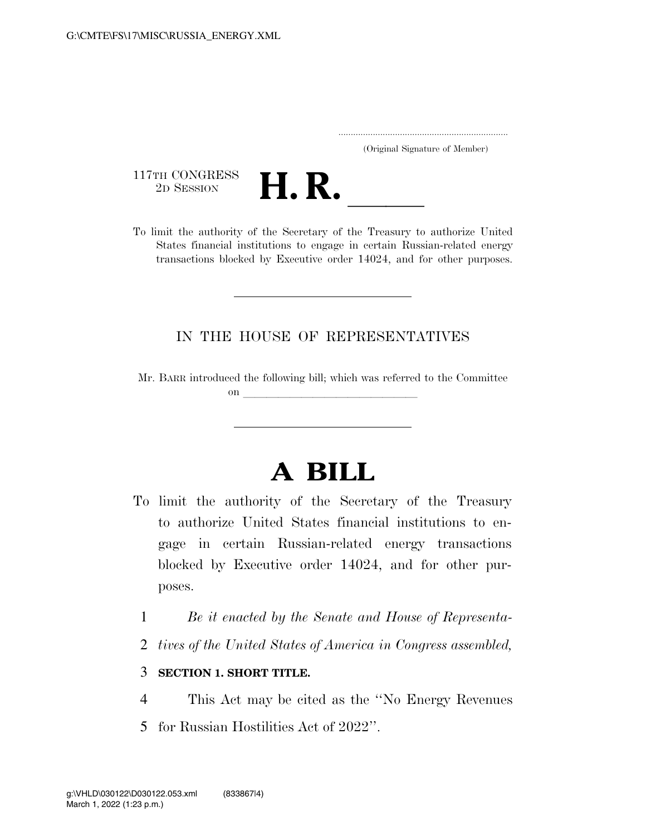..................................................................... (Original Signature of Member)

117TH CONGRESS<br>2D SESSION



117TH CONGRESS<br>
2D SESSION<br>
To limit the authority of the Secretary of the Treasury to authorize United States financial institutions to engage in certain Russian-related energy transactions blocked by Executive order 14024, and for other purposes.

## IN THE HOUSE OF REPRESENTATIVES

Mr. BARR introduced the following bill; which was referred to the Committee on **later and little little little** 

## **A BILL**

- To limit the authority of the Secretary of the Treasury to authorize United States financial institutions to engage in certain Russian-related energy transactions blocked by Executive order 14024, and for other purposes.
	- 1 *Be it enacted by the Senate and House of Representa-*
	- 2 *tives of the United States of America in Congress assembled,*

## 3 **SECTION 1. SHORT TITLE.**

- 4 This Act may be cited as the ''No Energy Revenues
- 5 for Russian Hostilities Act of 2022''.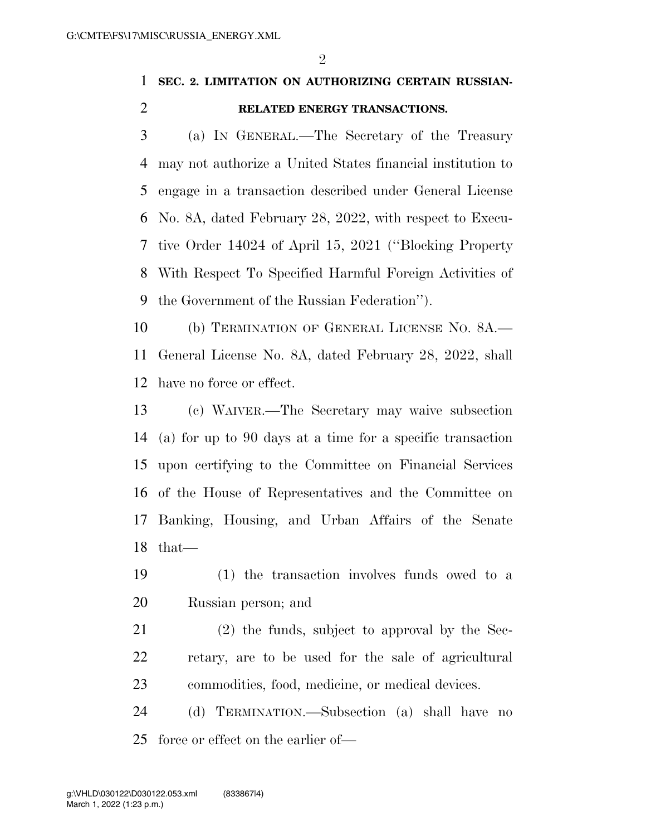## **SEC. 2. LIMITATION ON AUTHORIZING CERTAIN RUSSIAN-RELATED ENERGY TRANSACTIONS.**

 (a) IN GENERAL.—The Secretary of the Treasury may not authorize a United States financial institution to engage in a transaction described under General License No. 8A, dated February 28, 2022, with respect to Execu- tive Order 14024 of April 15, 2021 (''Blocking Property With Respect To Specified Harmful Foreign Activities of the Government of the Russian Federation'').

 (b) TERMINATION OF GENERAL LICENSE NO. 8A.— General License No. 8A, dated February 28, 2022, shall have no force or effect.

 (c) WAIVER.—The Secretary may waive subsection (a) for up to 90 days at a time for a specific transaction upon certifying to the Committee on Financial Services of the House of Representatives and the Committee on Banking, Housing, and Urban Affairs of the Senate that—

- (1) the transaction involves funds owed to a Russian person; and
- (2) the funds, subject to approval by the Sec- retary, are to be used for the sale of agricultural commodities, food, medicine, or medical devices.

 (d) TERMINATION.—Subsection (a) shall have no force or effect on the earlier of